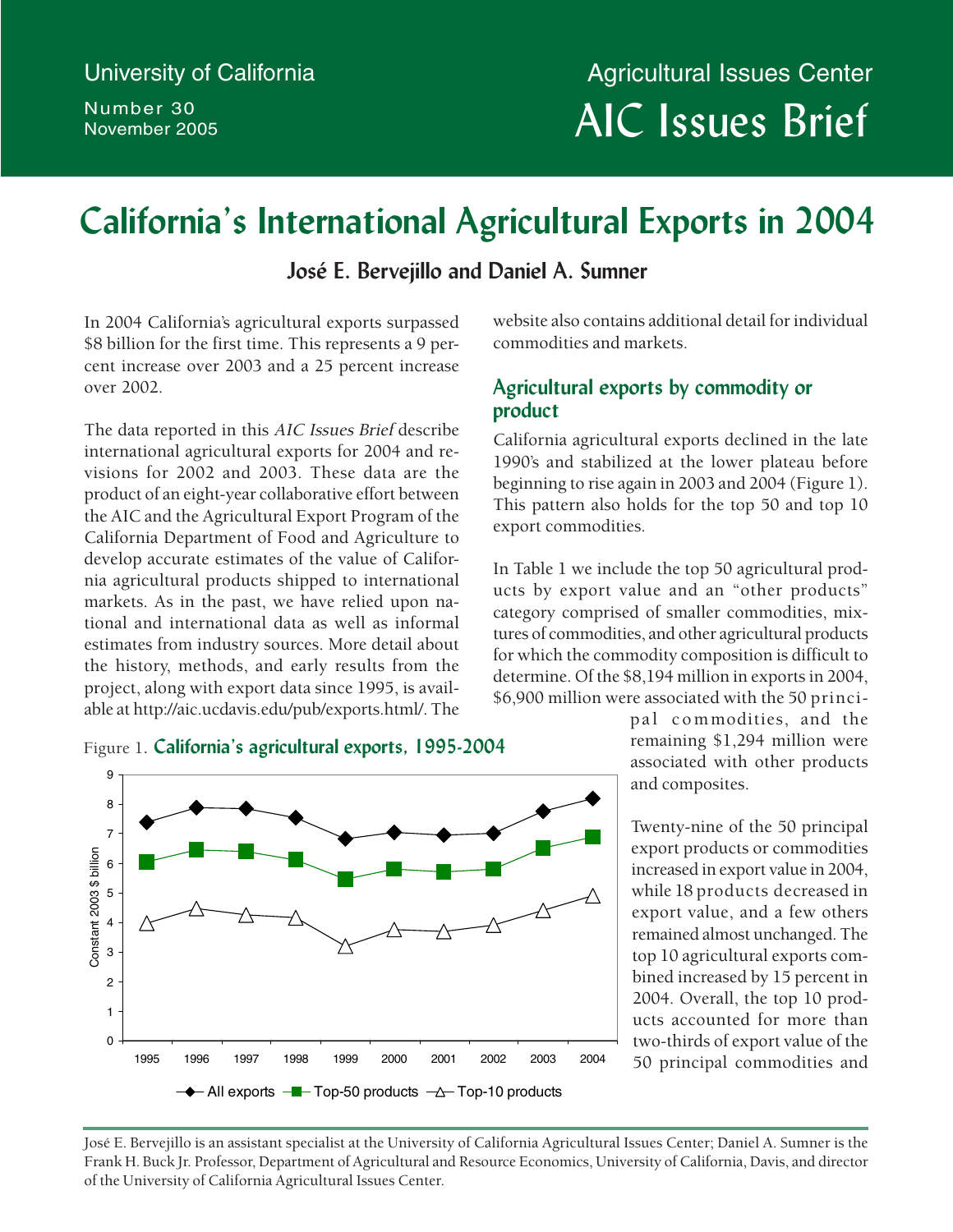Number 30 November 2005

# AIC Issues Brief University of California **Agricultural Issues Center**

# **California's International Agricultural Exports in 2004**

## **José E. Bervejillo and Daniel A. Sumner**

In 2004 California's agricultural exports surpassed \$8 billion for the first time. This represents a 9 percent increase over 2003 and a 25 percent increase over 2002.

The data reported in this AIC Issues Brief describe international agricultural exports for 2004 and revisions for 2002 and 2003. These data are the product of an eight-year collaborative effort between the AIC and the Agricultural Export Program of the California Department of Food and Agriculture to develop accurate estimates of the value of California agricultural products shipped to international markets. As in the past, we have relied upon national and international data as well as informal estimates from industry sources. More detail about the history, methods, and early results from the project, along with export data since 1995, is available at http://aic.ucdavis.edu/pub/exports.html/. The





website also contains additional detail for individual commodities and markets.

## **Agricultural exports by commodity or product**

California agricultural exports declined in the late 1990's and stabilized at the lower plateau before beginning to rise again in 2003 and 2004 (Figure 1). This pattern also holds for the top 50 and top 10 export commodities.

In Table 1 we include the top 50 agricultural products by export value and an "other products" category comprised of smaller commodities, mixtures of commodities, and other agricultural products for which the commodity composition is difficult to determine. Of the \$8,194 million in exports in 2004, \$6,900 million were associated with the 50 princi-

pal com modities, and the remaining \$1,294 million were associated with other products and composites.

Twenty-nine of the 50 principal export products or commodities increased in export value in 2004, while 18 products decreased in export value, and a few others remained almost unchanged. The top 10 agricultural exports combined increased by 15 percent in 2004. Overall, the top 10 products accounted for more than two-thirds of export value of the 50 principal commodities and

José E. Bervejillo is an assistant specialist at the University of California Agricultural Issues Center; Daniel A. Sumner is the Frank H. Buck Jr. Professor, Department of Agricultural and Resource Economics, University of California, Davis, and director of the University of California Agricultural Issues Center.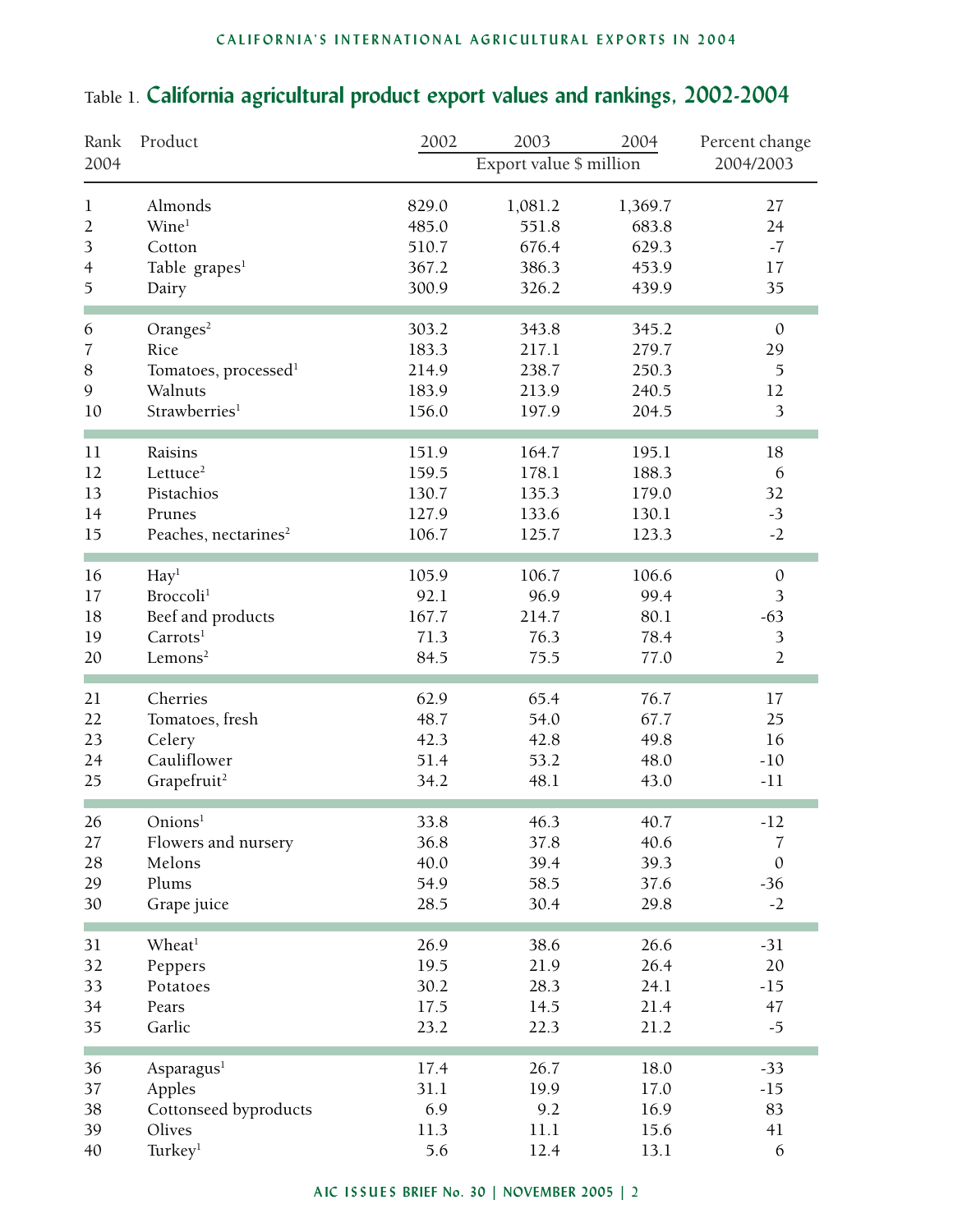#### **CALIFORNIA'S INTERNATIONAL AGRICULTURAL EXPORTS IN 2004**

### Rank Product 2002 2003 2004 Percent change 2004 Export value \$ million 2004/2003 1 Almonds 829.0 1,081.2 1,369.7 27 2 Wine<sup>1</sup> 485.0 551.8 683.8 24 3 Cotton 510.7 676.4 629.3 -7 4 Table grapes<sup>1</sup> 367.2 386.3 453.9 17 5 Dairy 300.9 326.2 439.9 35 × 6 Oranges<sup>2</sup> 303.2 343.8 345.2 0 7 Rice 183.3 217.1 279.7 29 8 Tomatoes, processed<sup>1</sup> 214.9 238.7 250.3 5 9 Walnuts 183.9 213.9 240.5 12 10 Strawberries<sup>1</sup> 156.0 197.9 204.5 3 11 Raisins 151.9 164.7 195.1 18 12 Lettuce<sup>2</sup> 159.5 178.1 188.3 6 13 Pistachios 130.7 135.3 179.0 32 14 Prunes 127.9 133.6 130.1 -3 15 Peaches, nectarines<sup>2</sup> 106.7 125.7 123.3 -2 **COL** 16 Hay<sup>1</sup> 105.9 106.7 106.6 0 17 Broccoli<sup>1</sup> 92.1 96.9 99.4 3 18 Beef and products 167.7 214.7 80.1 -63<br>19 Carrots<sup>1</sup> 71.3 76.3 78.4 3 19 Carrots<sup>1</sup> 71.3 76.3 78.4 3 20 Lemons<sup>2</sup> 84.5 75.5 77.0 2 21 Cherries 62.9 65.4 76.7 17 22 Tomatoes, fresh 48.7 54.0 67.7 25 23 Celery 42.3 42.8 49.8 16 24 Cauliflower 51.4 53.2 48.0 -10 25 Grapefruit<sup>2</sup> 34.2 48.1 43.0 -11 m. 26 Onions<sup>1</sup> 33.8 46.3 40.7 -12 27 Flowers and nursery 36.8 37.8 40.6 7 28 Melons 40.0 39.4 39.3 0 29 Plums 54.9 58.5 37.6 -36 30 Grape juice 28.5 30.4 29.8 -2 31 Wheat<sup>1</sup> 26.9 38.6 26.6  $-31$ 32 Peppers 19.5 21.9 26.4 20 33 Potatoes 30.2 28.3 24.1 -15 34 Pears 17.5 14.5 21.4 47 35 Garlic 23.2 22.3 21.2 -5 m. 36 Asparagus<sup>1</sup> 17.4 26.7 18.0 -33 37 Apples 31.1 19.9 17.0 -15 38 Cottonseed byproducts 6.9 9.2 16.9 83 39 Olives 11.3 11.1 15.6 41 40 Turkey<sup>1</sup> 5.6 12.4 13.1 6

### Table 1. **California agricultural product export values and rankings, 2002-2004**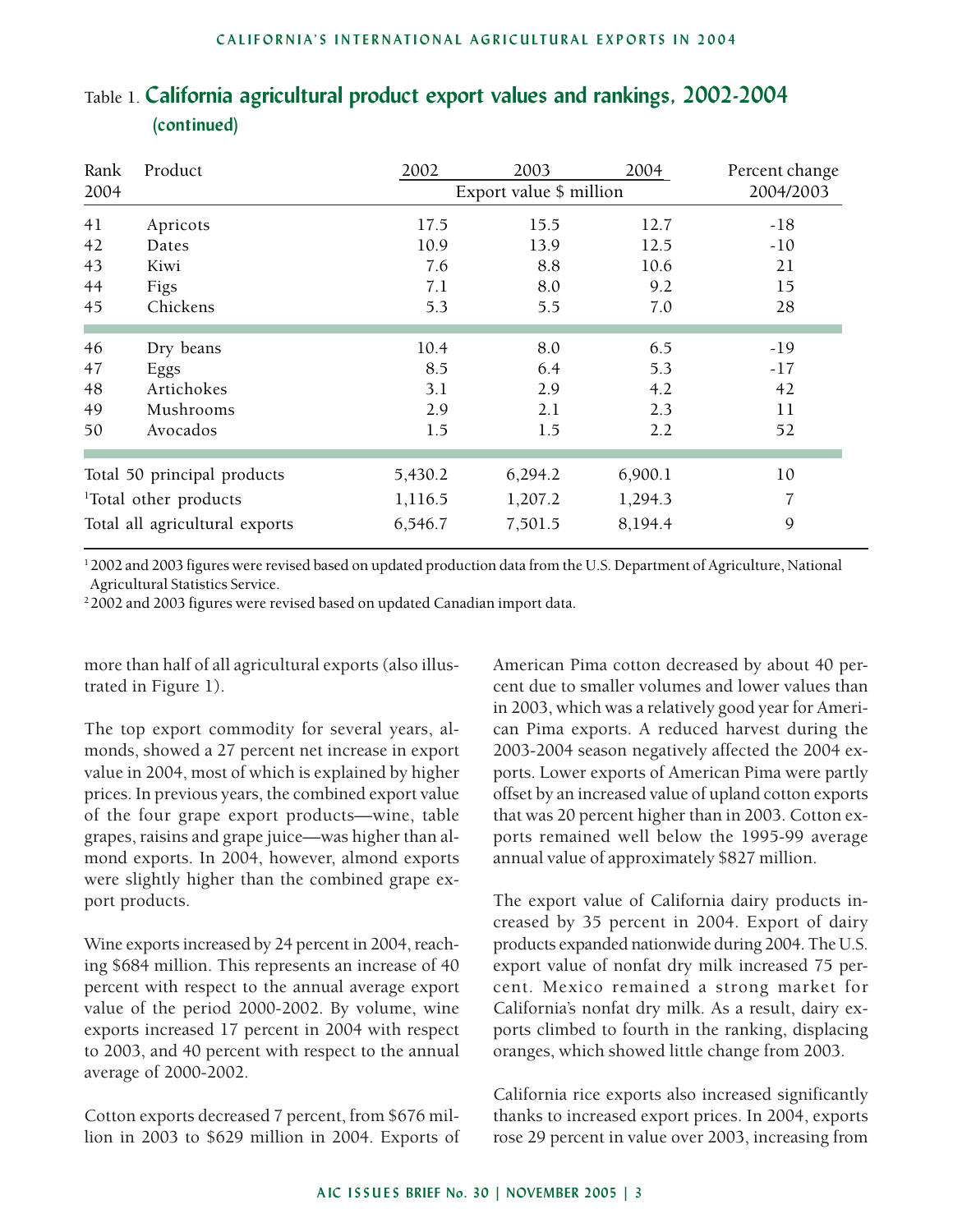| Rank<br>2004                      | Product    | 2003<br>Export value \$ million | 2004    | Percent change<br>2004/2003 |       |
|-----------------------------------|------------|---------------------------------|---------|-----------------------------|-------|
| 41                                | Apricots   | 17.5                            | 15.5    | 12.7                        | $-18$ |
| 42                                | Dates      | 10.9                            | 13.9    | 12.5                        | $-10$ |
| 43                                | Kiwi       | 7.6                             | 8.8     | 10.6                        | 21    |
| 44                                | Figs       | 7.1                             | 8.0     | 9.2                         | 15    |
| 45                                | Chickens   | 5.3                             | 5.5     | 7.0                         | 28    |
|                                   |            |                                 |         |                             |       |
| 46                                | Dry beans  | 10.4                            | 8.0     | 6.5                         | $-19$ |
| 47                                | Eggs       | 8.5                             | 6.4     | 5.3                         | -17   |
| 48                                | Artichokes | 3.1                             | 2.9     | 4.2                         | 42    |
| 49                                | Mushrooms  | 2.9                             | 2.1     | 2.3                         | 11    |
| 50                                | Avocados   | 1.5                             | 1.5     | 2.2                         | 52    |
|                                   |            |                                 |         |                             |       |
| Total 50 principal products       |            | 5,430.2                         | 6,294.2 | 6,900.1                     | 10    |
| <sup>1</sup> Total other products |            | 1,116.5                         | 1,207.2 | 1,294.3                     | 7     |
| Total all agricultural exports    |            | 6,546.7                         | 7,501.5 | 8,194.4                     | 9     |

## Table 1. **California agricultural product export values and rankings, 2002-2004 (continued)**

1 2002 and 2003 figures were revised based on updated production data from the U.S. Department of Agriculture, National Agricultural Statistics Service.

<sup>2</sup> 2002 and 2003 figures were revised based on updated Canadian import data.

more than half of all agricultural exports (also illustrated in Figure 1).

The top export commodity for several years, almonds, showed a 27 percent net increase in export value in 2004, most of which is explained by higher prices. In previous years, the combined export value of the four grape export products—wine, table grapes, raisins and grape juice—was higher than almond exports. In 2004, however, almond exports were slightly higher than the combined grape export products.

Wine exports increased by 24 percent in 2004, reaching \$684 million. This represents an increase of 40 percent with respect to the annual average export value of the period 2000-2002. By volume, wine exports increased 17 percent in 2004 with respect to 2003, and 40 percent with respect to the annual average of 2000-2002.

Cotton exports decreased 7 percent, from \$676 million in 2003 to \$629 million in 2004. Exports of American Pima cotton decreased by about 40 percent due to smaller volumes and lower values than in 2003, which was a relatively good year for American Pima exports. A reduced harvest during the 2003-2004 season negatively affected the 2004 exports. Lower exports of American Pima were partly offset by an increased value of upland cotton exports that was 20 percent higher than in 2003. Cotton exports remained well below the 1995-99 average annual value of approximately \$827 million.

The export value of California dairy products increased by 35 percent in 2004. Export of dairy products expanded nationwide during 2004. The U.S. export value of nonfat dry milk increased 75 percent. Mexico remained a strong market for California's nonfat dry milk. As a result, dairy exports climbed to fourth in the ranking, displacing oranges, which showed little change from 2003.

California rice exports also increased significantly thanks to increased export prices. In 2004, exports rose 29 percent in value over 2003, increasing from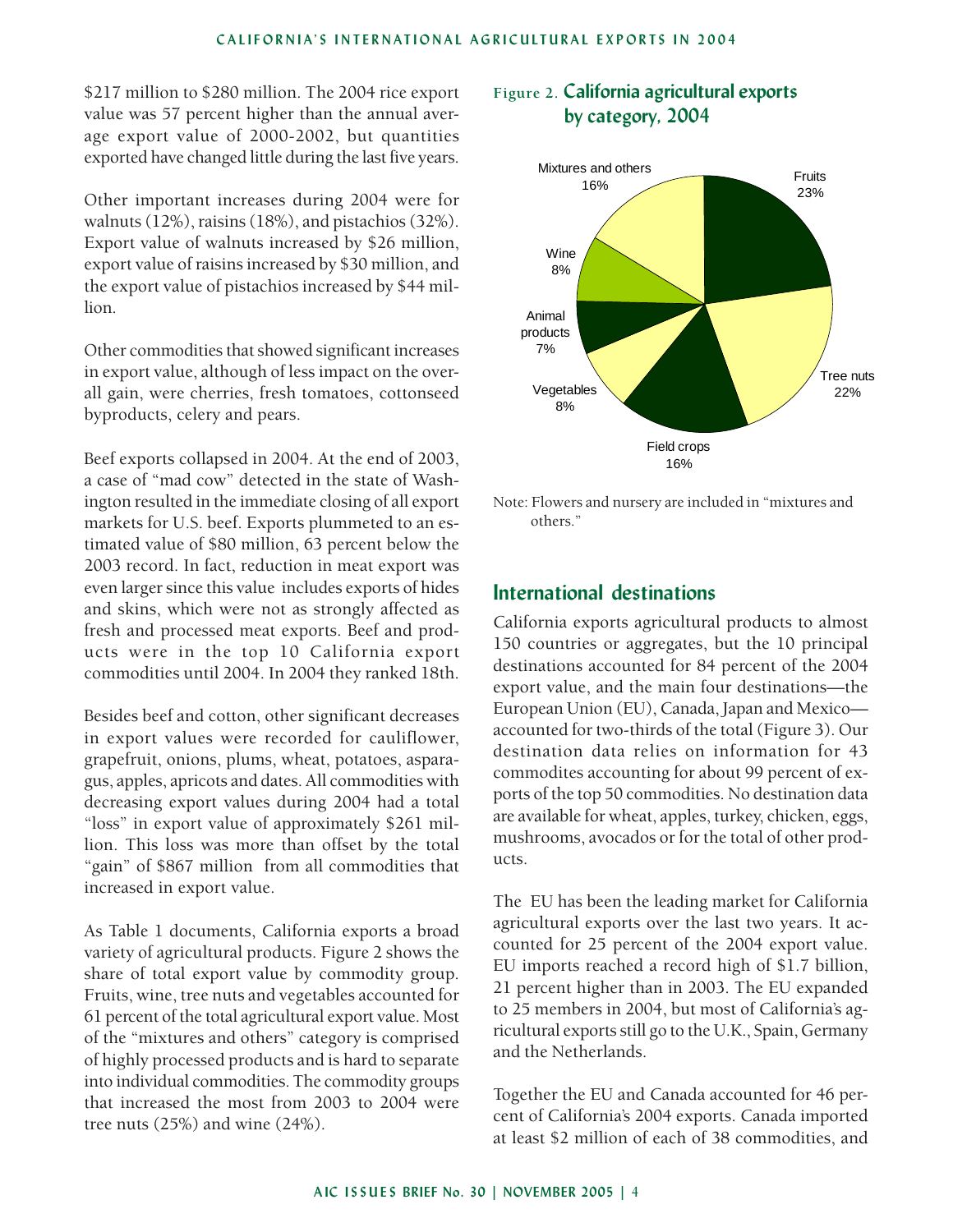\$217 million to \$280 million. The 2004 rice export value was 57 percent higher than the annual average export value of 2000-2002, but quantities exported have changed little during the last five years.

Other important increases during 2004 were for walnuts (12%), raisins (18%), and pistachios (32%). Export value of walnuts increased by \$26 million, export value of raisins increased by \$30 million, and the export value of pistachios increased by \$44 million.

Other commodities that showed significant increases in export value, although of less impact on the overall gain, were cherries, fresh tomatoes, cottonseed byproducts, celery and pears.

Beef exports collapsed in 2004. At the end of 2003, a case of "mad cow" detected in the state of Washington resulted in the immediate closing of all export markets for U.S. beef. Exports plummeted to an estimated value of \$80 million, 63 percent below the 2003 record. In fact, reduction in meat export was even larger since this value includes exports of hides and skins, which were not as strongly affected as fresh and processed meat exports. Beef and products were in the top 10 California export commodities until 2004. In 2004 they ranked 18th.

Besides beef and cotton, other significant decreases in export values were recorded for cauliflower, grapefruit, onions, plums, wheat, potatoes, asparagus, apples, apricots and dates. All commodities with decreasing export values during 2004 had a total "loss" in export value of approximately \$261 million. This loss was more than offset by the total "gain" of \$867 million from all commodities that increased in export value.

As Table 1 documents, California exports a broad variety of agricultural products. Figure 2 shows the share of total export value by commodity group. Fruits, wine, tree nuts and vegetables accounted for 61 percent of the total agricultural export value. Most of the "mixtures and others" category is comprised of highly processed products and is hard to separate into individual commodities. The commodity groups that increased the most from 2003 to 2004 were tree nuts (25%) and wine (24%).

#### **Figure 2. California agricultural exports by category, 2004**



Note: Flowers and nursery are included in "mixtures and others."

#### **International destinations**

California exports agricultural products to almost 150 countries or aggregates, but the 10 principal destinations accounted for 84 percent of the 2004 export value, and the main four destinations—the European Union (EU), Canada, Japan and Mexico accounted for two-thirds of the total (Figure 3). Our destination data relies on information for 43 commodites accounting for about 99 percent of exports of the top 50 commodities. No destination data are available for wheat, apples, turkey, chicken, eggs, mushrooms, avocados or for the total of other products.

The EU has been the leading market for California agricultural exports over the last two years. It accounted for 25 percent of the 2004 export value. EU imports reached a record high of \$1.7 billion, 21 percent higher than in 2003. The EU expanded to 25 members in 2004, but most of California's agricultural exports still go to the U.K., Spain, Germany and the Netherlands.

Together the EU and Canada accounted for 46 percent of California's 2004 exports. Canada imported at least \$2 million of each of 38 commodities, and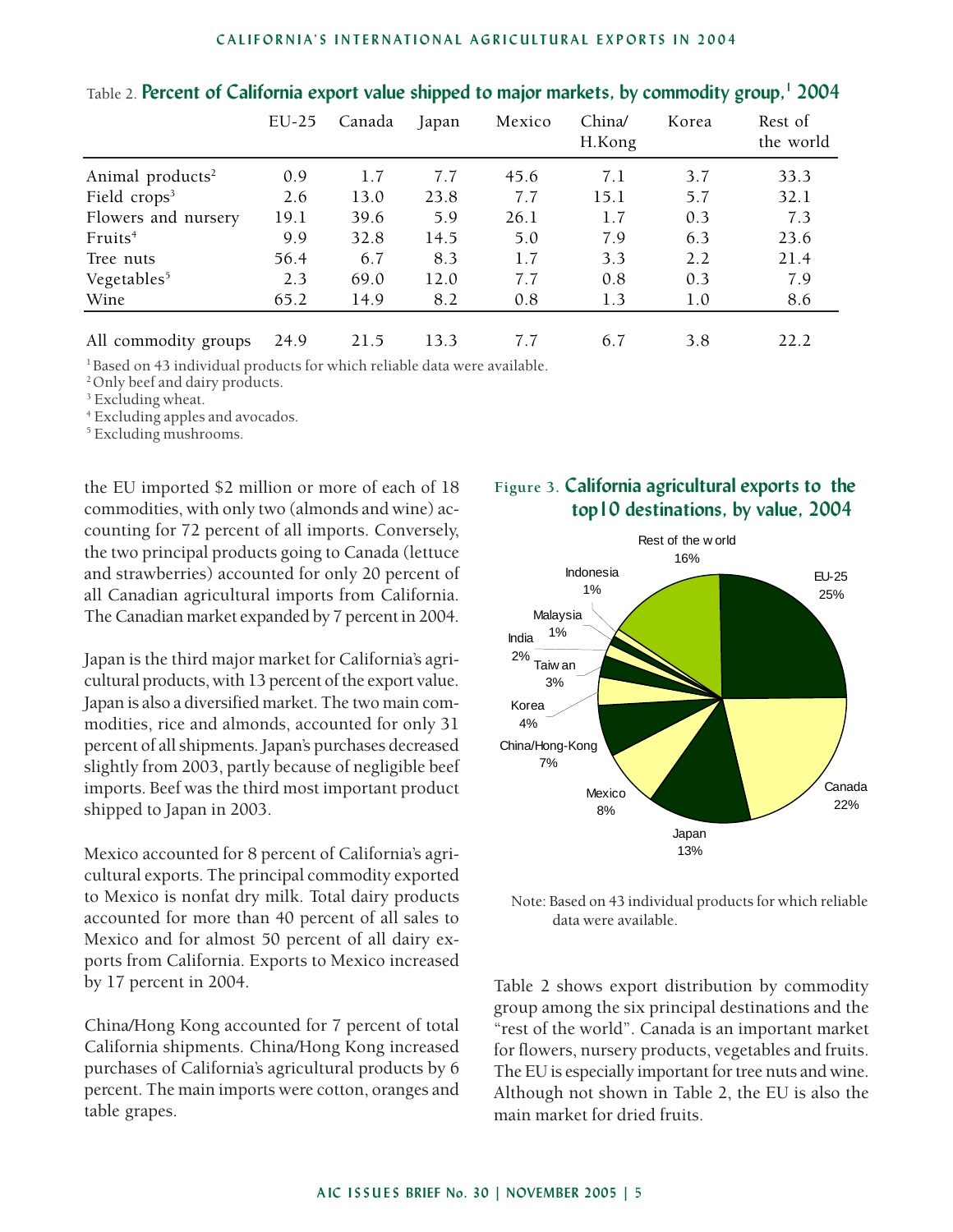#### **CALIFORNIA'S INTERNATIONAL AGRICULTURAL EXPORTS IN 2004**

|                              | $EU-25$ | Canada | Japan | Mexico | China/<br>H.Kong | Korea | Rest of<br>the world |
|------------------------------|---------|--------|-------|--------|------------------|-------|----------------------|
| Animal products <sup>2</sup> | 0.9     | 1.7    | 7.7   | 45.6   | 7.1              | 3.7   | 33.3                 |
| Field crops <sup>3</sup>     | 2.6     | 13.0   | 23.8  | 7.7    | 15.1             | 5.7   | 32.1                 |
| Flowers and nursery          | 19.1    | 39.6   | 5.9   | 26.1   | 1.7              | 0.3   | 7.3                  |
| Fruits <sup>4</sup>          | 9.9     | 32.8   | 14.5  | 5.0    | 7.9              | 6.3   | 23.6                 |
| Tree nuts                    | 56.4    | 6.7    | 8.3   | 1.7    | 3.3              | 2.2   | 21.4                 |
| Vegetables <sup>5</sup>      | 2.3     | 69.0   | 12.0  | 7.7    | 0.8              | 0.3   | 7.9                  |
| Wine                         | 65.2    | 14.9   | 8.2   | 0.8    | 1.3              | 1.0   | 8.6                  |
| All commodity groups         | 24.9    | 21.5   | 13.3  | 7.7    | 6.7              | 3.8   | 22.2                 |

#### Table 2. **Percent of California export value shipped to major markets, by commodity group,1 2004**

<sup>1</sup> Based on 43 individual products for which reliable data were available.

<sup>2</sup> Only beef and dairy products.

<sup>3</sup> Excluding wheat.

4 Excluding apples and avocados.

5 Excluding mushrooms.

the EU imported \$2 million or more of each of 18 commodities, with only two (almonds and wine) accounting for 72 percent of all imports. Conversely, the two principal products going to Canada (lettuce and strawberries) accounted for only 20 percent of all Canadian agricultural imports from California. The Canadian market expanded by 7 percent in 2004.

Japan is the third major market for California's agricultural products, with 13 percent of the export value. Japan is also a diversified market. The two main commodities, rice and almonds, accounted for only 31 percent of all shipments. Japan's purchases decreased slightly from 2003, partly because of negligible beef imports. Beef was the third most important product shipped to Japan in 2003.

Mexico accounted for 8 percent of California's agricultural exports. The principal commodity exported to Mexico is nonfat dry milk. Total dairy products accounted for more than 40 percent of all sales to Mexico and for almost 50 percent of all dairy exports from California. Exports to Mexico increased by 17 percent in 2004.

China/Hong Kong accounted for 7 percent of total California shipments. China/Hong Kong increased purchases of California's agricultural products by 6 percent. The main imports were cotton, oranges and table grapes.

## **Figure 3. California agricultural exports to the top10 destinations, by value, 2004**



Note: Based on 43 individual products for which reliable data were available.

Table 2 shows export distribution by commodity group among the six principal destinations and the "rest of the world". Canada is an important market for flowers, nursery products, vegetables and fruits. The EU is especially important for tree nuts and wine. Although not shown in Table 2, the EU is also the main market for dried fruits.